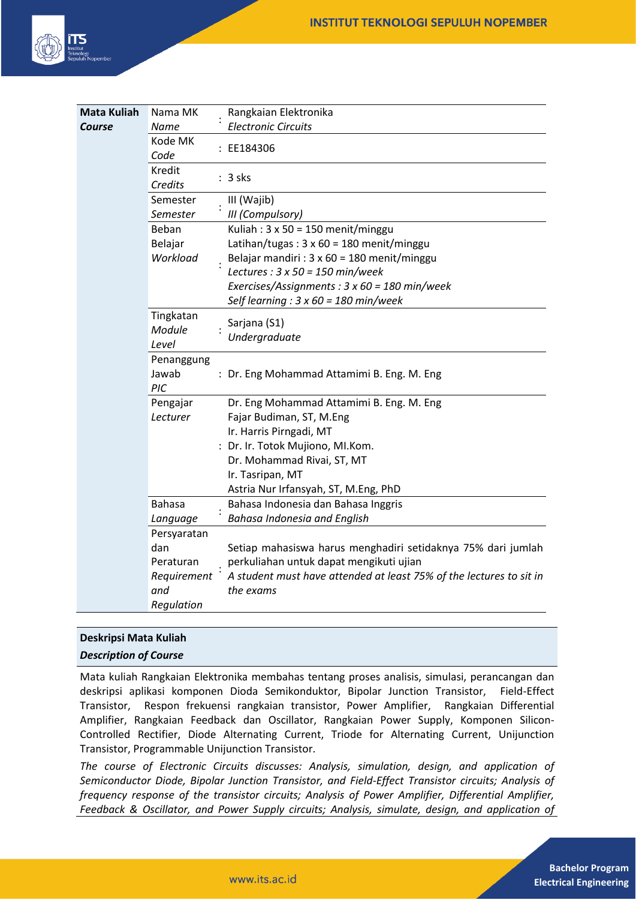

| <b>Mata Kuliah</b> | Nama MK                      |  | Rangkaian Elektronika                                               |
|--------------------|------------------------------|--|---------------------------------------------------------------------|
| Course             | Name                         |  | <b>Electronic Circuits</b>                                          |
|                    | Kode MK<br>Code              |  | : EE184306                                                          |
|                    | Kredit<br>Credits            |  | $: 3$ sks                                                           |
|                    | Semester                     |  | III (Wajib)                                                         |
|                    | Semester                     |  | III (Compulsory)                                                    |
|                    | Beban                        |  | Kuliah: 3 x 50 = 150 menit/minggu                                   |
|                    | Belajar                      |  | Latihan/tugas: $3 \times 60 = 180$ menit/minggu                     |
|                    | Workload                     |  | Belajar mandiri : 3 x 60 = 180 menit/minggu                         |
|                    |                              |  | Lectures : $3 \times 50 = 150$ min/week                             |
|                    |                              |  | Exercises/Assignments: 3 x 60 = 180 min/week                        |
|                    |                              |  | Self learning : $3 \times 60 = 180$ min/week                        |
|                    | Tingkatan<br>Module<br>Level |  | Sarjana (S1)                                                        |
|                    |                              |  | Undergraduate                                                       |
|                    | Penanggung                   |  |                                                                     |
|                    | Jawab                        |  | : Dr. Eng Mohammad Attamimi B. Eng. M. Eng                          |
|                    | PIC                          |  |                                                                     |
|                    | Pengajar                     |  | Dr. Eng Mohammad Attamimi B. Eng. M. Eng                            |
|                    | Lecturer                     |  | Fajar Budiman, ST, M.Eng                                            |
|                    |                              |  | Ir. Harris Pirngadi, MT                                             |
|                    |                              |  | : Dr. Ir. Totok Mujiono, MI.Kom.                                    |
|                    |                              |  | Dr. Mohammad Rivai, ST, MT                                          |
|                    |                              |  | Ir. Tasripan, MT                                                    |
|                    |                              |  | Astria Nur Irfansyah, ST, M.Eng, PhD                                |
|                    | <b>Bahasa</b>                |  | Bahasa Indonesia dan Bahasa Inggris                                 |
|                    | Language                     |  | <b>Bahasa Indonesia and English</b>                                 |
|                    | Persyaratan                  |  |                                                                     |
|                    | dan                          |  | Setiap mahasiswa harus menghadiri setidaknya 75% dari jumlah        |
|                    | Peraturan                    |  | perkuliahan untuk dapat mengikuti ujian                             |
|                    | Requirement                  |  | A student must have attended at least 75% of the lectures to sit in |
|                    | and                          |  | the exams                                                           |
|                    | Regulation                   |  |                                                                     |

# **Deskripsi Mata Kuliah**

# *Description of Course*

Mata kuliah Rangkaian Elektronika membahas tentang proses analisis, simulasi, perancangan dan deskripsi aplikasi komponen Dioda Semikonduktor, Bipolar Junction Transistor, Field-Effect Transistor, Respon frekuensi rangkaian transistor, Power Amplifier, Rangkaian Differential Amplifier, Rangkaian Feedback dan Oscillator, Rangkaian Power Supply, Komponen Silicon-Controlled Rectifier, Diode Alternating Current, Triode for Alternating Current, Unijunction Transistor, Programmable Unijunction Transistor.

*The course of Electronic Circuits discusses: Analysis, simulation, design, and application of Semiconductor Diode, Bipolar Junction Transistor, and Field-Effect Transistor circuits; Analysis of frequency response of the transistor circuits; Analysis of Power Amplifier, Differential Amplifier, Feedback & Oscillator, and Power Supply circuits; Analysis, simulate, design, and application of*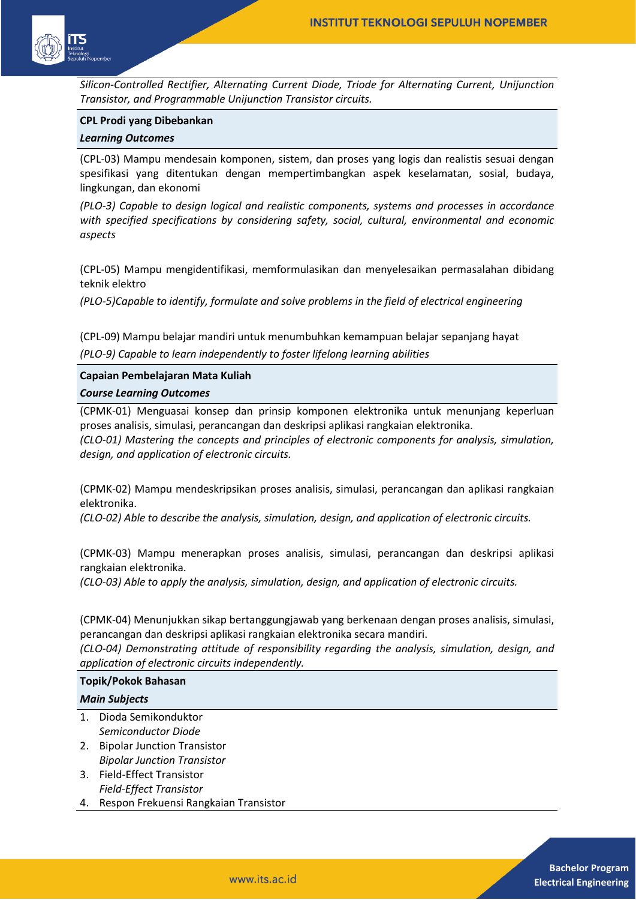

*Silicon-Controlled Rectifier, Alternating Current Diode, Triode for Alternating Current, Unijunction Transistor, and Programmable Unijunction Transistor circuits.*

#### **CPL Prodi yang Dibebankan**

#### *Learning Outcomes*

(CPL-03) Mampu mendesain komponen, sistem, dan proses yang logis dan realistis sesuai dengan spesifikasi yang ditentukan dengan mempertimbangkan aspek keselamatan, sosial, budaya, lingkungan, dan ekonomi

*(PLO-3) Capable to design logical and realistic components, systems and processes in accordance with specified specifications by considering safety, social, cultural, environmental and economic aspects* 

(CPL-05) Mampu mengidentifikasi, memformulasikan dan menyelesaikan permasalahan dibidang teknik elektro

*(PLO-5)Capable to identify, formulate and solve problems in the field of electrical engineering* 

(CPL-09) Mampu belajar mandiri untuk menumbuhkan kemampuan belajar sepanjang hayat

*(PLO-9) Capable to learn independently to foster lifelong learning abilities* 

## **Capaian Pembelajaran Mata Kuliah** *Course Learning Outcomes*

(CPMK-01) Menguasai konsep dan prinsip komponen elektronika untuk menunjang keperluan proses analisis, simulasi, perancangan dan deskripsi aplikasi rangkaian elektronika. *(CLO-01) Mastering the concepts and principles of electronic components for analysis, simulation, design, and application of electronic circuits.*

(CPMK-02) Mampu mendeskripsikan proses analisis, simulasi, perancangan dan aplikasi rangkaian elektronika.

*(CLO-02) Able to describe the analysis, simulation, design, and application of electronic circuits.*

(CPMK-03) Mampu menerapkan proses analisis, simulasi, perancangan dan deskripsi aplikasi rangkaian elektronika.

*(CLO-03) Able to apply the analysis, simulation, design, and application of electronic circuits.*

(CPMK-04) Menunjukkan sikap bertanggungjawab yang berkenaan dengan proses analisis, simulasi, perancangan dan deskripsi aplikasi rangkaian elektronika secara mandiri.

*(CLO-04) Demonstrating attitude of responsibility regarding the analysis, simulation, design, and application of electronic circuits independently.*

#### **Topik/Pokok Bahasan**

#### *Main Subjects*

- 1. Dioda Semikonduktor *Semiconductor Diode*
- 2. Bipolar Junction Transistor *Bipolar Junction Transistor*
- 3. Field-Effect Transistor *Field-Effect Transistor*
- 4. Respon Frekuensi Rangkaian Transistor